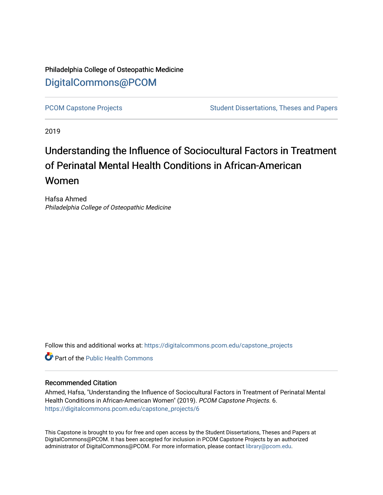# Philadelphia College of Osteopathic Medicine [DigitalCommons@PCOM](https://digitalcommons.pcom.edu/)

[PCOM Capstone Projects](https://digitalcommons.pcom.edu/capstone_projects) **Student Dissertations, Theses and Papers** Student Dissertations, Theses and Papers

2019

# Understanding the Influence of Sociocultural Factors in Treatment of Perinatal Mental Health Conditions in African-American Women

Hafsa Ahmed Philadelphia College of Osteopathic Medicine

Follow this and additional works at: [https://digitalcommons.pcom.edu/capstone\\_projects](https://digitalcommons.pcom.edu/capstone_projects?utm_source=digitalcommons.pcom.edu%2Fcapstone_projects%2F6&utm_medium=PDF&utm_campaign=PDFCoverPages)

**C** Part of the Public Health Commons

# Recommended Citation

Ahmed, Hafsa, "Understanding the Influence of Sociocultural Factors in Treatment of Perinatal Mental Health Conditions in African-American Women" (2019). PCOM Capstone Projects. 6. [https://digitalcommons.pcom.edu/capstone\\_projects/6](https://digitalcommons.pcom.edu/capstone_projects/6?utm_source=digitalcommons.pcom.edu%2Fcapstone_projects%2F6&utm_medium=PDF&utm_campaign=PDFCoverPages) 

This Capstone is brought to you for free and open access by the Student Dissertations, Theses and Papers at DigitalCommons@PCOM. It has been accepted for inclusion in PCOM Capstone Projects by an authorized administrator of DigitalCommons@PCOM. For more information, please contact [library@pcom.edu.](mailto:library@pcom.edu)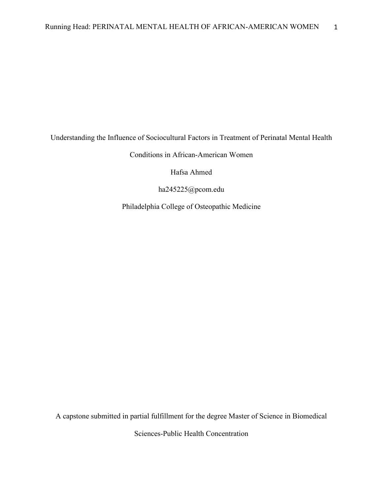Understanding the Influence of Sociocultural Factors in Treatment of Perinatal Mental Health

Conditions in African-American Women

Hafsa Ahmed

ha245225@pcom.edu

Philadelphia College of Osteopathic Medicine

A capstone submitted in partial fulfillment for the degree Master of Science in Biomedical

Sciences-Public Health Concentration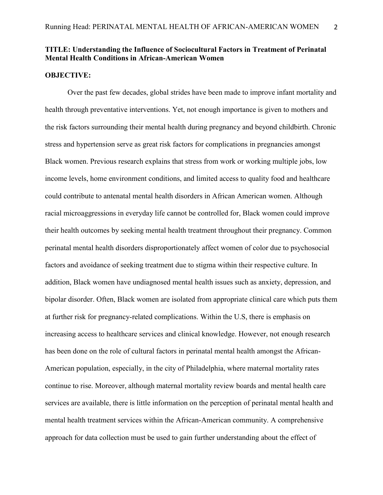# **TITLE: Understanding the Influence of Sociocultural Factors in Treatment of Perinatal Mental Health Conditions in African-American Women**

#### **OBJECTIVE:**

Over the past few decades, global strides have been made to improve infant mortality and health through preventative interventions. Yet, not enough importance is given to mothers and the risk factors surrounding their mental health during pregnancy and beyond childbirth. Chronic stress and hypertension serve as great risk factors for complications in pregnancies amongst Black women. Previous research explains that stress from work or working multiple jobs, low income levels, home environment conditions, and limited access to quality food and healthcare could contribute to antenatal mental health disorders in African American women. Although racial microaggressions in everyday life cannot be controlled for, Black women could improve their health outcomes by seeking mental health treatment throughout their pregnancy. Common perinatal mental health disorders disproportionately affect women of color due to psychosocial factors and avoidance of seeking treatment due to stigma within their respective culture. In addition, Black women have undiagnosed mental health issues such as anxiety, depression, and bipolar disorder. Often, Black women are isolated from appropriate clinical care which puts them at further risk for pregnancy-related complications. Within the U.S, there is emphasis on increasing access to healthcare services and clinical knowledge. However, not enough research has been done on the role of cultural factors in perinatal mental health amongst the African-American population, especially, in the city of Philadelphia, where maternal mortality rates continue to rise. Moreover, although maternal mortality review boards and mental health care services are available, there is little information on the perception of perinatal mental health and mental health treatment services within the African-American community. A comprehensive approach for data collection must be used to gain further understanding about the effect of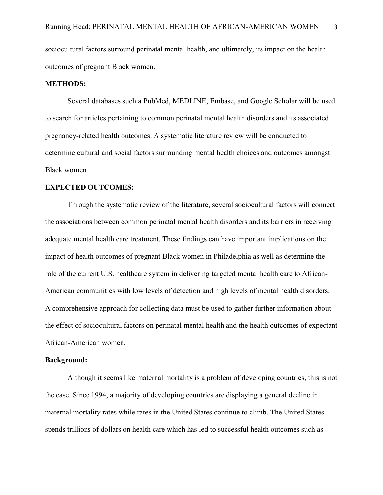sociocultural factors surround perinatal mental health, and ultimately, its impact on the health outcomes of pregnant Black women.

# **METHODS:**

Several databases such a PubMed, MEDLINE, Embase, and Google Scholar will be used to search for articles pertaining to common perinatal mental health disorders and its associated pregnancy-related health outcomes. A systematic literature review will be conducted to determine cultural and social factors surrounding mental health choices and outcomes amongst Black women.

# **EXPECTED OUTCOMES:**

Through the systematic review of the literature, several sociocultural factors will connect the associations between common perinatal mental health disorders and its barriers in receiving adequate mental health care treatment. These findings can have important implications on the impact of health outcomes of pregnant Black women in Philadelphia as well as determine the role of the current U.S. healthcare system in delivering targeted mental health care to African-American communities with low levels of detection and high levels of mental health disorders. A comprehensive approach for collecting data must be used to gather further information about the effect of sociocultural factors on perinatal mental health and the health outcomes of expectant African-American women.

#### **Background:**

Although it seems like maternal mortality is a problem of developing countries, this is not the case. Since 1994, a majority of developing countries are displaying a general decline in maternal mortality rates while rates in the United States continue to climb. The United States spends trillions of dollars on health care which has led to successful health outcomes such as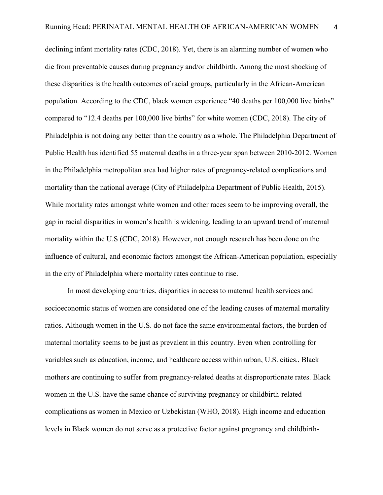declining infant mortality rates (CDC, 2018). Yet, there is an alarming number of women who die from preventable causes during pregnancy and/or childbirth. Among the most shocking of these disparities is the health outcomes of racial groups, particularly in the African-American population. According to the CDC, black women experience "40 deaths per 100,000 live births" compared to "12.4 deaths per 100,000 live births" for white women (CDC, 2018). The city of Philadelphia is not doing any better than the country as a whole. The Philadelphia Department of Public Health has identified 55 maternal deaths in a three-year span between 2010-2012. Women in the Philadelphia metropolitan area had higher rates of pregnancy-related complications and mortality than the national average (City of Philadelphia Department of Public Health, 2015). While mortality rates amongst white women and other races seem to be improving overall, the gap in racial disparities in women's health is widening, leading to an upward trend of maternal mortality within the U.S (CDC, 2018). However, not enough research has been done on the influence of cultural, and economic factors amongst the African-American population, especially in the city of Philadelphia where mortality rates continue to rise.

In most developing countries, disparities in access to maternal health services and socioeconomic status of women are considered one of the leading causes of maternal mortality ratios. Although women in the U.S. do not face the same environmental factors, the burden of maternal mortality seems to be just as prevalent in this country. Even when controlling for variables such as education, income, and healthcare access within urban, U.S. cities., Black mothers are continuing to suffer from pregnancy-related deaths at disproportionate rates. Black women in the U.S. have the same chance of surviving pregnancy or childbirth-related complications as women in Mexico or Uzbekistan (WHO, 2018). High income and education levels in Black women do not serve as a protective factor against pregnancy and childbirth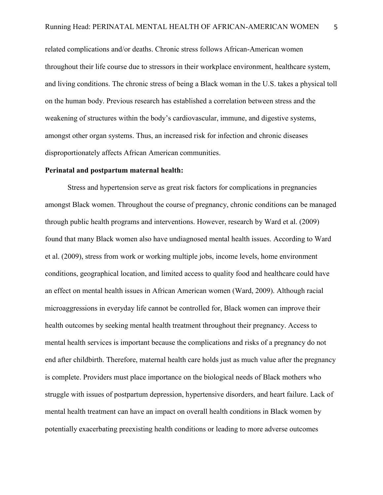related complications and/or deaths. Chronic stress follows African-American women throughout their life course due to stressors in their workplace environment, healthcare system, and living conditions. The chronic stress of being a Black woman in the U.S. takes a physical toll on the human body. Previous research has established a correlation between stress and the weakening of structures within the body's cardiovascular, immune, and digestive systems, amongst other organ systems. Thus, an increased risk for infection and chronic diseases disproportionately affects African American communities.

#### **Perinatal and postpartum maternal health:**

Stress and hypertension serve as great risk factors for complications in pregnancies amongst Black women. Throughout the course of pregnancy, chronic conditions can be managed through public health programs and interventions. However, research by Ward et al. (2009) found that many Black women also have undiagnosed mental health issues. According to Ward et al. (2009), stress from work or working multiple jobs, income levels, home environment conditions, geographical location, and limited access to quality food and healthcare could have an effect on mental health issues in African American women (Ward, 2009). Although racial microaggressions in everyday life cannot be controlled for, Black women can improve their health outcomes by seeking mental health treatment throughout their pregnancy. Access to mental health services is important because the complications and risks of a pregnancy do not end after childbirth. Therefore, maternal health care holds just as much value after the pregnancy is complete. Providers must place importance on the biological needs of Black mothers who struggle with issues of postpartum depression, hypertensive disorders, and heart failure. Lack of mental health treatment can have an impact on overall health conditions in Black women by potentially exacerbating preexisting health conditions or leading to more adverse outcomes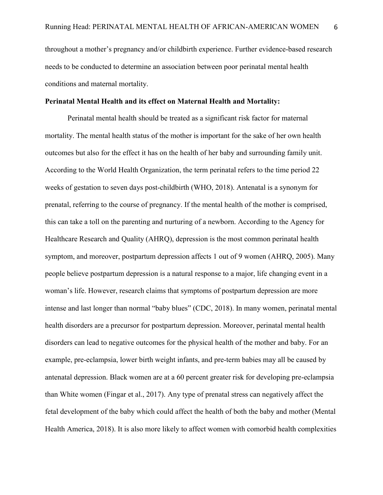throughout a mother's pregnancy and/or childbirth experience. Further evidence-based research needs to be conducted to determine an association between poor perinatal mental health conditions and maternal mortality.

# **Perinatal Mental Health and its effect on Maternal Health and Mortality:**

Perinatal mental health should be treated as a significant risk factor for maternal mortality. The mental health status of the mother is important for the sake of her own health outcomes but also for the effect it has on the health of her baby and surrounding family unit. According to the World Health Organization, the term perinatal refers to the time period 22 weeks of gestation to seven days post-childbirth (WHO, 2018). Antenatal is a synonym for prenatal, referring to the course of pregnancy. If the mental health of the mother is comprised, this can take a toll on the parenting and nurturing of a newborn. According to the Agency for Healthcare Research and Quality (AHRQ), depression is the most common perinatal health symptom, and moreover, postpartum depression affects 1 out of 9 women (AHRQ, 2005). Many people believe postpartum depression is a natural response to a major, life changing event in a woman's life. However, research claims that symptoms of postpartum depression are more intense and last longer than normal "baby blues" (CDC, 2018). In many women, perinatal mental health disorders are a precursor for postpartum depression. Moreover, perinatal mental health disorders can lead to negative outcomes for the physical health of the mother and baby. For an example, pre-eclampsia, lower birth weight infants, and pre-term babies may all be caused by antenatal depression. Black women are at a 60 percent greater risk for developing pre-eclampsia than White women (Fingar et al., 2017). Any type of prenatal stress can negatively affect the fetal development of the baby which could affect the health of both the baby and mother (Mental Health America, 2018). It is also more likely to affect women with comorbid health complexities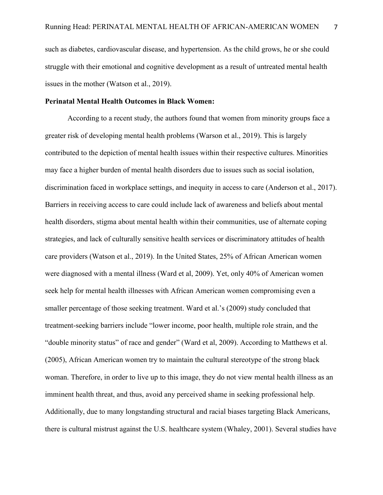such as diabetes, cardiovascular disease, and hypertension. As the child grows, he or she could struggle with their emotional and cognitive development as a result of untreated mental health issues in the mother (Watson et al., 2019).

# **Perinatal Mental Health Outcomes in Black Women:**

According to a recent study, the authors found that women from minority groups face a greater risk of developing mental health problems (Warson et al., 2019). This is largely contributed to the depiction of mental health issues within their respective cultures. Minorities may face a higher burden of mental health disorders due to issues such as social isolation, discrimination faced in workplace settings, and inequity in access to care (Anderson et al., 2017). Barriers in receiving access to care could include lack of awareness and beliefs about mental health disorders, stigma about mental health within their communities, use of alternate coping strategies, and lack of culturally sensitive health services or discriminatory attitudes of health care providers (Watson et al., 2019). In the United States, 25% of African American women were diagnosed with a mental illness (Ward et al, 2009). Yet, only 40% of American women seek help for mental health illnesses with African American women compromising even a smaller percentage of those seeking treatment. Ward et al.'s (2009) study concluded that treatment-seeking barriers include "lower income, poor health, multiple role strain, and the "double minority status" of race and gender" (Ward et al, 2009). According to Matthews et al. (2005), African American women try to maintain the cultural stereotype of the strong black woman. Therefore, in order to live up to this image, they do not view mental health illness as an imminent health threat, and thus, avoid any perceived shame in seeking professional help. Additionally, due to many longstanding structural and racial biases targeting Black Americans, there is cultural mistrust against the U.S. healthcare system (Whaley, 2001). Several studies have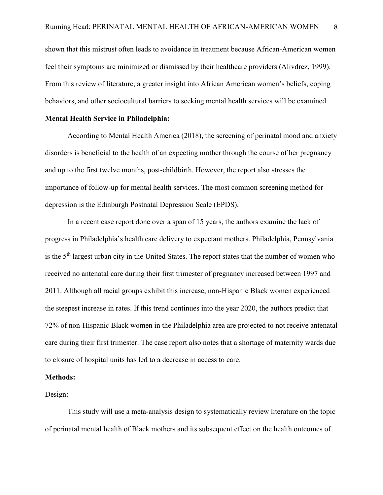shown that this mistrust often leads to avoidance in treatment because African-American women feel their symptoms are minimized or dismissed by their healthcare providers (Alivdrez, 1999). From this review of literature, a greater insight into African American women's beliefs, coping behaviors, and other sociocultural barriers to seeking mental health services will be examined.

# **Mental Health Service in Philadelphia:**

According to Mental Health America (2018), the screening of perinatal mood and anxiety disorders is beneficial to the health of an expecting mother through the course of her pregnancy and up to the first twelve months, post-childbirth. However, the report also stresses the importance of follow-up for mental health services. The most common screening method for depression is the Edinburgh Postnatal Depression Scale (EPDS).

In a recent case report done over a span of 15 years, the authors examine the lack of progress in Philadelphia's health care delivery to expectant mothers. Philadelphia, Pennsylvania is the 5th largest urban city in the United States. The report states that the number of women who received no antenatal care during their first trimester of pregnancy increased between 1997 and 2011. Although all racial groups exhibit this increase, non-Hispanic Black women experienced the steepest increase in rates. If this trend continues into the year 2020, the authors predict that 72% of non-Hispanic Black women in the Philadelphia area are projected to not receive antenatal care during their first trimester. The case report also notes that a shortage of maternity wards due to closure of hospital units has led to a decrease in access to care.

#### **Methods:**

#### Design:

This study will use a meta-analysis design to systematically review literature on the topic of perinatal mental health of Black mothers and its subsequent effect on the health outcomes of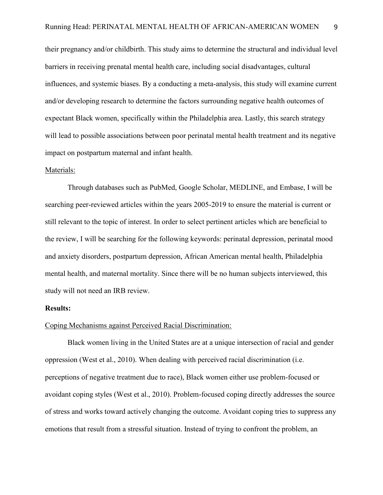their pregnancy and/or childbirth. This study aims to determine the structural and individual level barriers in receiving prenatal mental health care, including social disadvantages, cultural influences, and systemic biases. By a conducting a meta-analysis, this study will examine current and/or developing research to determine the factors surrounding negative health outcomes of expectant Black women, specifically within the Philadelphia area. Lastly, this search strategy will lead to possible associations between poor perinatal mental health treatment and its negative impact on postpartum maternal and infant health.

#### Materials:

Through databases such as PubMed, Google Scholar, MEDLINE, and Embase, I will be searching peer-reviewed articles within the years 2005-2019 to ensure the material is current or still relevant to the topic of interest. In order to select pertinent articles which are beneficial to the review, I will be searching for the following keywords: perinatal depression, perinatal mood and anxiety disorders, postpartum depression, African American mental health, Philadelphia mental health, and maternal mortality. Since there will be no human subjects interviewed, this study will not need an IRB review.

#### **Results:**

#### Coping Mechanisms against Perceived Racial Discrimination:

Black women living in the United States are at a unique intersection of racial and gender oppression (West et al., 2010). When dealing with perceived racial discrimination (i.e. perceptions of negative treatment due to race), Black women either use problem-focused or avoidant coping styles (West et al., 2010). Problem-focused coping directly addresses the source of stress and works toward actively changing the outcome. Avoidant coping tries to suppress any emotions that result from a stressful situation. Instead of trying to confront the problem, an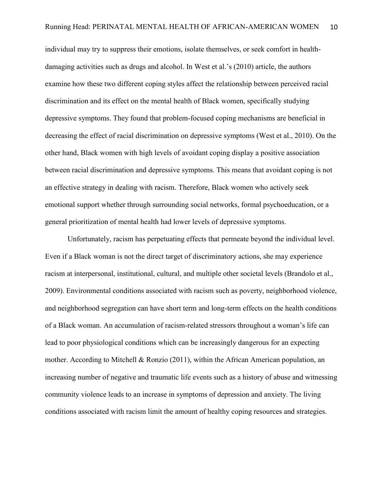individual may try to suppress their emotions, isolate themselves, or seek comfort in healthdamaging activities such as drugs and alcohol. In West et al.'s (2010) article, the authors examine how these two different coping styles affect the relationship between perceived racial discrimination and its effect on the mental health of Black women, specifically studying depressive symptoms. They found that problem-focused coping mechanisms are beneficial in decreasing the effect of racial discrimination on depressive symptoms (West et al., 2010). On the other hand, Black women with high levels of avoidant coping display a positive association between racial discrimination and depressive symptoms. This means that avoidant coping is not an effective strategy in dealing with racism. Therefore, Black women who actively seek emotional support whether through surrounding social networks, formal psychoeducation, or a general prioritization of mental health had lower levels of depressive symptoms.

Unfortunately, racism has perpetuating effects that permeate beyond the individual level. Even if a Black woman is not the direct target of discriminatory actions, she may experience racism at interpersonal, institutional, cultural, and multiple other societal levels (Brandolo et al., 2009). Environmental conditions associated with racism such as poverty, neighborhood violence, and neighborhood segregation can have short term and long-term effects on the health conditions of a Black woman. An accumulation of racism-related stressors throughout a woman's life can lead to poor physiological conditions which can be increasingly dangerous for an expecting mother. According to Mitchell & Ronzio (2011), within the African American population, an increasing number of negative and traumatic life events such as a history of abuse and witnessing community violence leads to an increase in symptoms of depression and anxiety. The living conditions associated with racism limit the amount of healthy coping resources and strategies.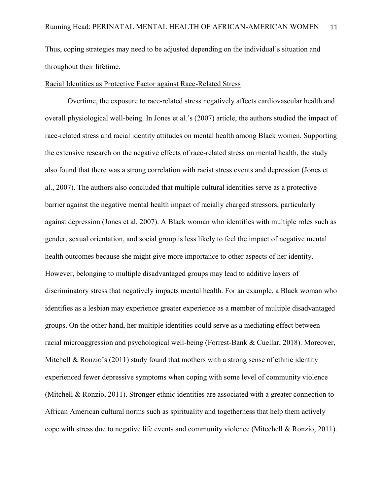Thus, coping strategies may need to be adjusted depending on the individual's situation and throughout their lifetime.

# Racial Identities as Protective Factor against Race-Related Stress

Overtime, the exposure to race-related stress negatively affects cardiovascular health and overall physiological well-being. In Jones et al.'s (2007) article, the authors studied the impact of race-related stress and racial identity attitudes on mental health among Black women. Supporting the extensive research on the negative effects of race-related stress on mental health, the study also found that there was a strong correlation with racist stress events and depression (Jones et al., 2007). The authors also concluded that multiple cultural identities serve as a protective barrier against the negative mental health impact of racially charged stressors, particularly against depression (Jones et al, 2007). A Black woman who identifies with multiple roles such as gender, sexual orientation, and social group is less likely to feel the impact of negative mental health outcomes because she might give more importance to other aspects of her identity. However, belonging to multiple disadvantaged groups may lead to additive layers of discriminatory stress that negatively impacts mental health. For an example, a Black woman who identifies as a lesbian may experience greater experience as a member of multiple disadvantaged groups. On the other hand, her multiple identities could serve as a mediating effect between racial microaggression and psychological well-being (Forrest-Bank & Cuellar, 2018). Moreover, Mitchell & Ronzio's (2011) study found that mothers with a strong sense of ethnic identity experienced fewer depressive symptoms when coping with some level of community violence (Mitchell & Ronzio, 2011). Stronger ethnic identities are associated with a greater connection to African American cultural norms such as spirituality and togetherness that help them actively cope with stress due to negative life events and community violence (Mitechell & Ronzio, 2011).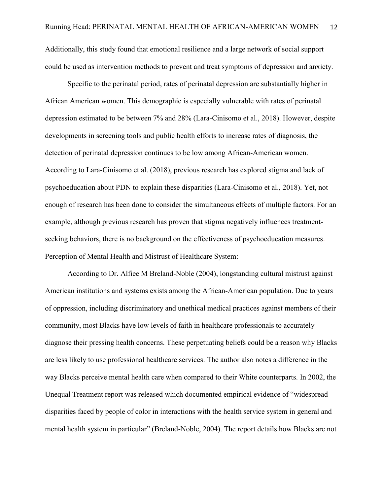Additionally, this study found that emotional resilience and a large network of social support could be used as intervention methods to prevent and treat symptoms of depression and anxiety.

Specific to the perinatal period, rates of perinatal depression are substantially higher in African American women. This demographic is especially vulnerable with rates of perinatal depression estimated to be between 7% and 28% (Lara-Cinisomo et al., 2018). However, despite developments in screening tools and public health efforts to increase rates of diagnosis, the detection of perinatal depression continues to be low among African-American women. According to Lara-Cinisomo et al. (2018), previous research has explored stigma and lack of psychoeducation about PDN to explain these disparities (Lara-Cinisomo et al., 2018). Yet, not enough of research has been done to consider the simultaneous effects of multiple factors. For an example, although previous research has proven that stigma negatively influences treatmentseeking behaviors, there is no background on the effectiveness of psychoeducation measures. Perception of Mental Health and Mistrust of Healthcare System:

According to Dr. Alfiee M Breland-Noble (2004), longstanding cultural mistrust against American institutions and systems exists among the African-American population. Due to years of oppression, including discriminatory and unethical medical practices against members of their community, most Blacks have low levels of faith in healthcare professionals to accurately diagnose their pressing health concerns. These perpetuating beliefs could be a reason why Blacks are less likely to use professional healthcare services. The author also notes a difference in the way Blacks perceive mental health care when compared to their White counterparts. In 2002, the Unequal Treatment report was released which documented empirical evidence of "widespread disparities faced by people of color in interactions with the health service system in general and mental health system in particular" (Breland-Noble, 2004). The report details how Blacks are not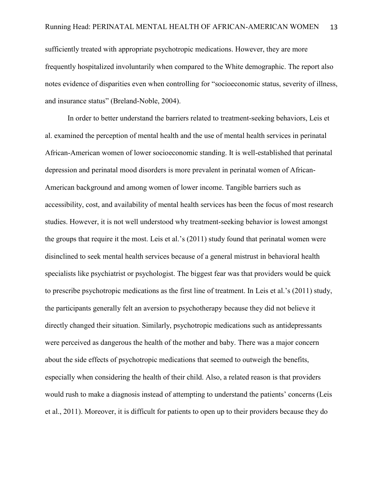sufficiently treated with appropriate psychotropic medications. However, they are more frequently hospitalized involuntarily when compared to the White demographic. The report also notes evidence of disparities even when controlling for "socioeconomic status, severity of illness, and insurance status" (Breland-Noble, 2004).

In order to better understand the barriers related to treatment-seeking behaviors, Leis et al. examined the perception of mental health and the use of mental health services in perinatal African-American women of lower socioeconomic standing. It is well-established that perinatal depression and perinatal mood disorders is more prevalent in perinatal women of African-American background and among women of lower income. Tangible barriers such as accessibility, cost, and availability of mental health services has been the focus of most research studies. However, it is not well understood why treatment-seeking behavior is lowest amongst the groups that require it the most. Leis et al.'s (2011) study found that perinatal women were disinclined to seek mental health services because of a general mistrust in behavioral health specialists like psychiatrist or psychologist. The biggest fear was that providers would be quick to prescribe psychotropic medications as the first line of treatment. In Leis et al.'s (2011) study, the participants generally felt an aversion to psychotherapy because they did not believe it directly changed their situation. Similarly, psychotropic medications such as antidepressants were perceived as dangerous the health of the mother and baby. There was a major concern about the side effects of psychotropic medications that seemed to outweigh the benefits, especially when considering the health of their child. Also, a related reason is that providers would rush to make a diagnosis instead of attempting to understand the patients' concerns (Leis et al., 2011). Moreover, it is difficult for patients to open up to their providers because they do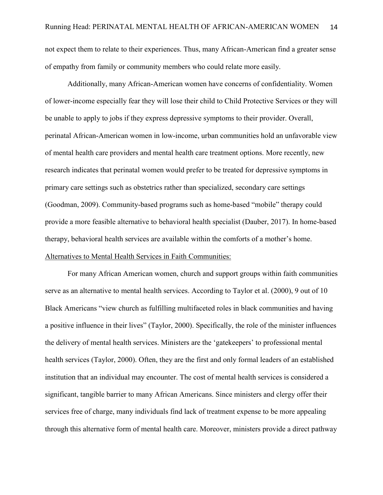not expect them to relate to their experiences. Thus, many African-American find a greater sense of empathy from family or community members who could relate more easily.

Additionally, many African-American women have concerns of confidentiality. Women of lower-income especially fear they will lose their child to Child Protective Services or they will be unable to apply to jobs if they express depressive symptoms to their provider. Overall, perinatal African-American women in low-income, urban communities hold an unfavorable view of mental health care providers and mental health care treatment options. More recently, new research indicates that perinatal women would prefer to be treated for depressive symptoms in primary care settings such as obstetrics rather than specialized, secondary care settings (Goodman, 2009). Community-based programs such as home-based "mobile" therapy could provide a more feasible alternative to behavioral health specialist (Dauber, 2017). In home-based therapy, behavioral health services are available within the comforts of a mother's home. Alternatives to Mental Health Services in Faith Communities:

For many African American women, church and support groups within faith communities serve as an alternative to mental health services. According to Taylor et al. (2000), 9 out of 10 Black Americans "view church as fulfilling multifaceted roles in black communities and having a positive influence in their lives" (Taylor, 2000). Specifically, the role of the minister influences the delivery of mental health services. Ministers are the 'gatekeepers' to professional mental health services (Taylor, 2000). Often, they are the first and only formal leaders of an established institution that an individual may encounter. The cost of mental health services is considered a significant, tangible barrier to many African Americans. Since ministers and clergy offer their services free of charge, many individuals find lack of treatment expense to be more appealing through this alternative form of mental health care. Moreover, ministers provide a direct pathway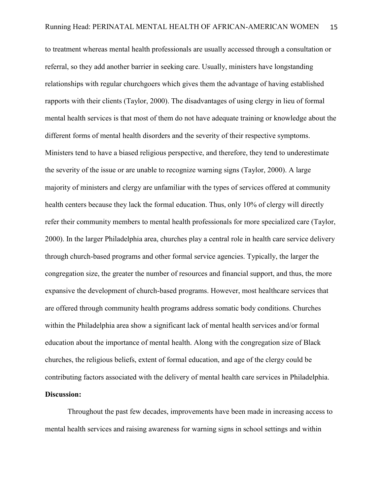to treatment whereas mental health professionals are usually accessed through a consultation or referral, so they add another barrier in seeking care. Usually, ministers have longstanding relationships with regular churchgoers which gives them the advantage of having established rapports with their clients (Taylor, 2000). The disadvantages of using clergy in lieu of formal mental health services is that most of them do not have adequate training or knowledge about the different forms of mental health disorders and the severity of their respective symptoms. Ministers tend to have a biased religious perspective, and therefore, they tend to underestimate the severity of the issue or are unable to recognize warning signs (Taylor, 2000). A large majority of ministers and clergy are unfamiliar with the types of services offered at community health centers because they lack the formal education. Thus, only 10% of clergy will directly refer their community members to mental health professionals for more specialized care (Taylor, 2000). In the larger Philadelphia area, churches play a central role in health care service delivery through church-based programs and other formal service agencies. Typically, the larger the congregation size, the greater the number of resources and financial support, and thus, the more expansive the development of church-based programs. However, most healthcare services that are offered through community health programs address somatic body conditions. Churches within the Philadelphia area show a significant lack of mental health services and/or formal education about the importance of mental health. Along with the congregation size of Black churches, the religious beliefs, extent of formal education, and age of the clergy could be contributing factors associated with the delivery of mental health care services in Philadelphia.

# **Discussion:**

Throughout the past few decades, improvements have been made in increasing access to mental health services and raising awareness for warning signs in school settings and within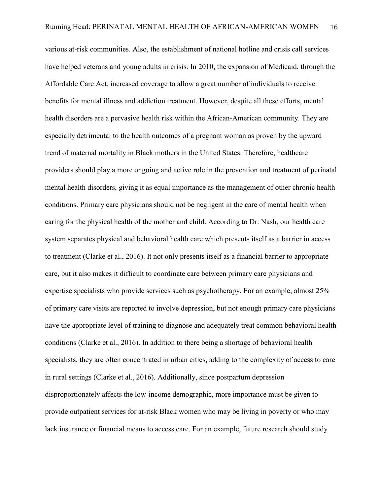various at-risk communities. Also, the establishment of national hotline and crisis call services have helped veterans and young adults in crisis. In 2010, the expansion of Medicaid, through the Affordable Care Act, increased coverage to allow a great number of individuals to receive benefits for mental illness and addiction treatment. However, despite all these efforts, mental health disorders are a pervasive health risk within the African-American community. They are especially detrimental to the health outcomes of a pregnant woman as proven by the upward trend of maternal mortality in Black mothers in the United States. Therefore, healthcare providers should play a more ongoing and active role in the prevention and treatment of perinatal mental health disorders, giving it as equal importance as the management of other chronic health conditions. Primary care physicians should not be negligent in the care of mental health when caring for the physical health of the mother and child. According to Dr. Nash, our health care system separates physical and behavioral health care which presents itself as a barrier in access to treatment (Clarke et al., 2016). It not only presents itself as a financial barrier to appropriate care, but it also makes it difficult to coordinate care between primary care physicians and expertise specialists who provide services such as psychotherapy. For an example, almost 25% of primary care visits are reported to involve depression, but not enough primary care physicians have the appropriate level of training to diagnose and adequately treat common behavioral health conditions (Clarke et al., 2016). In addition to there being a shortage of behavioral health specialists, they are often concentrated in urban cities, adding to the complexity of access to care in rural settings (Clarke et al., 2016). Additionally, since postpartum depression disproportionately affects the low-income demographic, more importance must be given to provide outpatient services for at-risk Black women who may be living in poverty or who may lack insurance or financial means to access care. For an example, future research should study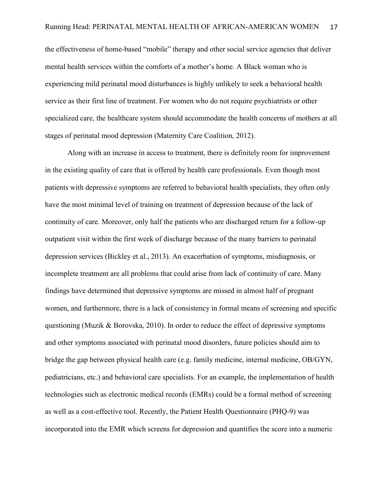the effectiveness of home-based "mobile" therapy and other social service agencies that deliver mental health services within the comforts of a mother's home. A Black woman who is experiencing mild perinatal mood disturbances is highly unlikely to seek a behavioral health service as their first line of treatment. For women who do not require psychiatrists or other specialized care, the healthcare system should accommodate the health concerns of mothers at all stages of perinatal mood depression (Maternity Care Coalition, 2012).

Along with an increase in access to treatment, there is definitely room for improvement in the existing quality of care that is offered by health care professionals. Even though most patients with depressive symptoms are referred to behavioral health specialists, they often only have the most minimal level of training on treatment of depression because of the lack of continuity of care. Moreover, only half the patients who are discharged return for a follow-up outpatient visit within the first week of discharge because of the many barriers to perinatal depression services (Bickley et al., 2013). An exacerbation of symptoms, misdiagnosis, or incomplete treatment are all problems that could arise from lack of continuity of care. Many findings have determined that depressive symptoms are missed in almost half of pregnant women, and furthermore, there is a lack of consistency in formal means of screening and specific questioning (Muzik & Borovska, 2010). In order to reduce the effect of depressive symptoms and other symptoms associated with perinatal mood disorders, future policies should aim to bridge the gap between physical health care (e.g. family medicine, internal medicine, OB/GYN, pediatricians, etc.) and behavioral care specialists. For an example, the implementation of health technologies such as electronic medical records (EMRs) could be a formal method of screening as well as a cost-effective tool. Recently, the Patient Health Questionnaire (PHQ-9) was incorporated into the EMR which screens for depression and quantifies the score into a numeric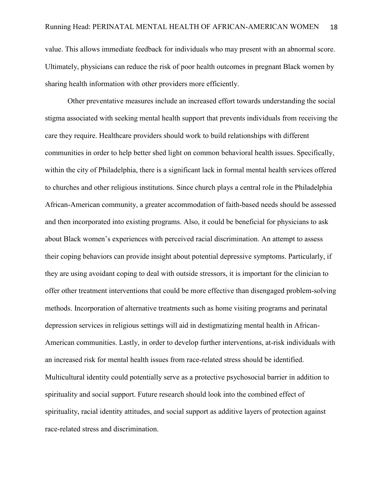value. This allows immediate feedback for individuals who may present with an abnormal score. Ultimately, physicians can reduce the risk of poor health outcomes in pregnant Black women by sharing health information with other providers more efficiently.

Other preventative measures include an increased effort towards understanding the social stigma associated with seeking mental health support that prevents individuals from receiving the care they require. Healthcare providers should work to build relationships with different communities in order to help better shed light on common behavioral health issues. Specifically, within the city of Philadelphia, there is a significant lack in formal mental health services offered to churches and other religious institutions. Since church plays a central role in the Philadelphia African-American community, a greater accommodation of faith-based needs should be assessed and then incorporated into existing programs. Also, it could be beneficial for physicians to ask about Black women's experiences with perceived racial discrimination. An attempt to assess their coping behaviors can provide insight about potential depressive symptoms. Particularly, if they are using avoidant coping to deal with outside stressors, it is important for the clinician to offer other treatment interventions that could be more effective than disengaged problem-solving methods. Incorporation of alternative treatments such as home visiting programs and perinatal depression services in religious settings will aid in destigmatizing mental health in African-American communities. Lastly, in order to develop further interventions, at-risk individuals with an increased risk for mental health issues from race-related stress should be identified. Multicultural identity could potentially serve as a protective psychosocial barrier in addition to spirituality and social support. Future research should look into the combined effect of spirituality, racial identity attitudes, and social support as additive layers of protection against race-related stress and discrimination.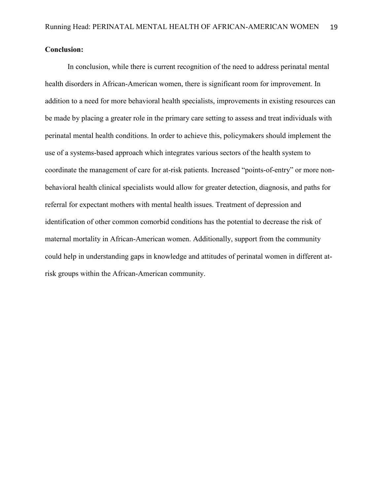# **Conclusion:**

In conclusion, while there is current recognition of the need to address perinatal mental health disorders in African-American women, there is significant room for improvement. In addition to a need for more behavioral health specialists, improvements in existing resources can be made by placing a greater role in the primary care setting to assess and treat individuals with perinatal mental health conditions. In order to achieve this, policymakers should implement the use of a systems-based approach which integrates various sectors of the health system to coordinate the management of care for at-risk patients. Increased "points-of-entry" or more nonbehavioral health clinical specialists would allow for greater detection, diagnosis, and paths for referral for expectant mothers with mental health issues. Treatment of depression and identification of other common comorbid conditions has the potential to decrease the risk of maternal mortality in African-American women. Additionally, support from the community could help in understanding gaps in knowledge and attitudes of perinatal women in different atrisk groups within the African-American community.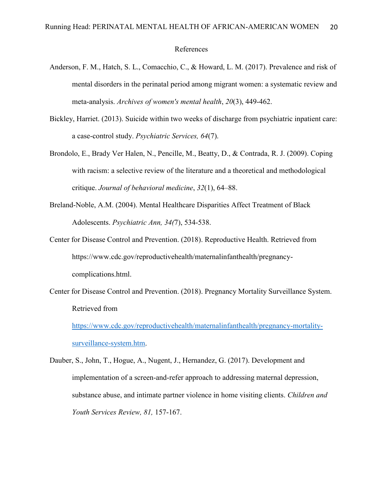#### References

- Anderson, F. M., Hatch, S. L., Comacchio, C., & Howard, L. M. (2017). Prevalence and risk of mental disorders in the perinatal period among migrant women: a systematic review and meta-analysis. *Archives of women's mental health*, *20*(3), 449-462.
- Bickley, Harriet. (2013). Suicide within two weeks of discharge from psychiatric inpatient care: a case-control study. *Psychiatric Services, 64*(7).
- Brondolo, E., Brady Ver Halen, N., Pencille, M., Beatty, D., & Contrada, R. J. (2009). Coping with racism: a selective review of the literature and a theoretical and methodological critique. *Journal of behavioral medicine*, *32*(1), 64–88.
- Breland-Noble, A.M. (2004). Mental Healthcare Disparities Affect Treatment of Black Adolescents. *Psychiatric Ann, 34(*7), 534-538.
- Center for Disease Control and Prevention. (2018). Reproductive Health. Retrieved from https://www.cdc.gov/reproductivehealth/maternalinfanthealth/pregnancycomplications.html.
- Center for Disease Control and Prevention. (2018). Pregnancy Mortality Surveillance System. Retrieved from

[https://www.cdc.gov/reproductivehealth/maternalinfanthealth/pregnancy-mortality](https://www.cdc.gov/reproductivehealth/maternalinfanthealth/pregnancy-mortality-surveillance-system.htm)[surveillance-system.htm.](https://www.cdc.gov/reproductivehealth/maternalinfanthealth/pregnancy-mortality-surveillance-system.htm)

Dauber, S., John, T., Hogue, A., Nugent, J., Hernandez, G. (2017). Development and implementation of a screen-and-refer approach to addressing maternal depression, substance abuse, and intimate partner violence in home visiting clients. *Children and Youth Services Review, 81,* 157-167.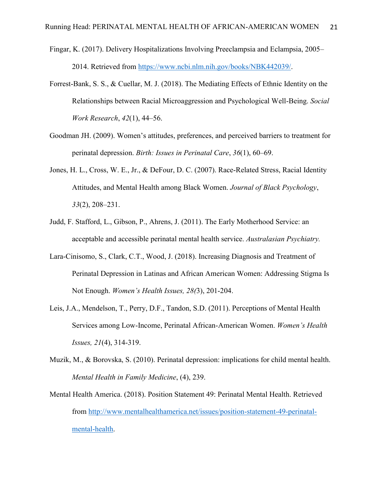- Fingar, K. (2017). Delivery Hospitalizations Involving Preeclampsia and Eclampsia, 2005– 2014. Retrieved from [https://www.ncbi.nlm.nih.gov/books/NBK442039/.](https://www.ncbi.nlm.nih.gov/books/NBK442039/)
- Forrest-Bank, S. S., & Cuellar, M. J. (2018). The Mediating Effects of Ethnic Identity on the Relationships between Racial Microaggression and Psychological Well-Being. *Social Work Research*, *42*(1), 44–56.
- Goodman JH. (2009). Women's attitudes, preferences, and perceived barriers to treatment for perinatal depression. *Birth: Issues in Perinatal Care*, *36*(1), 60–69.
- Jones, H. L., Cross, W. E., Jr., & DeFour, D. C. (2007). Race-Related Stress, Racial Identity Attitudes, and Mental Health among Black Women. *Journal of Black Psychology*, *33*(2), 208–231.
- Judd, F. Stafford, L., Gibson, P., Ahrens, J. (2011). The Early Motherhood Service: an acceptable and accessible perinatal mental health service. *Australasian Psychiatry.*
- Lara-Cinisomo, S., Clark, C.T., Wood, J. (2018). Increasing Diagnosis and Treatment of Perinatal Depression in Latinas and African American Women: Addressing Stigma Is Not Enough. *Women's Health Issues, 28(*3), 201-204.
- Leis, J.A., Mendelson, T., Perry, D.F., Tandon, S.D. (2011). Perceptions of Mental Health Services among Low-Income, Perinatal African-American Women. *Women's Health Issues, 21*(4), 314-319.
- Muzik, M., & Borovska, S. (2010). Perinatal depression: implications for child mental health. *Mental Health in Family Medicine*, (4), 239.
- Mental Health America. (2018). Position Statement 49: Perinatal Mental Health. Retrieved from [http://www.mentalhealthamerica.net/issues/position-statement-49-perinatal](http://www.mentalhealthamerica.net/issues/position-statement-49-perinatal-mental-health)[mental-health.](http://www.mentalhealthamerica.net/issues/position-statement-49-perinatal-mental-health)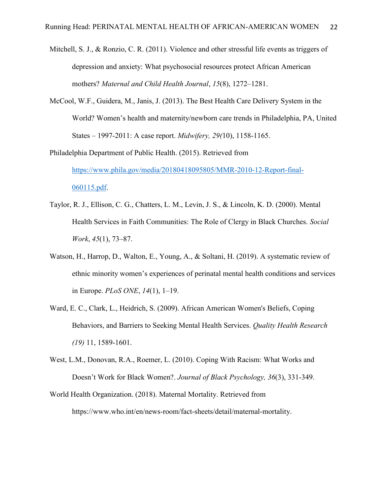- Mitchell, S. J., & Ronzio, C. R. (2011). Violence and other stressful life events as triggers of depression and anxiety: What psychosocial resources protect African American mothers? *Maternal and Child Health Journal*, *15*(8), 1272–1281.
- McCool, W.F., Guidera, M., Janis, J. (2013). The Best Health Care Delivery System in the World? Women's health and maternity/newborn care trends in Philadelphia, PA, United States – 1997-2011: A case report. *Midwifery, 29(*10), 1158-1165.

Philadelphia Department of Public Health. (2015). Retrieved from [https://www.phila.gov/media/20180418095805/MMR-2010-12-Report-final-](https://www.phila.gov/media/20180418095805/MMR-2010-12-Report-final-060115.pdf)[060115.pdf.](https://www.phila.gov/media/20180418095805/MMR-2010-12-Report-final-060115.pdf)

- Taylor, R. J., Ellison, C. G., Chatters, L. M., Levin, J. S., & Lincoln, K. D. (2000). Mental Health Services in Faith Communities: The Role of Clergy in Black Churches. *Social Work*, *45*(1), 73–87.
- Watson, H., Harrop, D., Walton, E., Young, A., & Soltani, H. (2019). A systematic review of ethnic minority women's experiences of perinatal mental health conditions and services in Europe. *PLoS ONE*, *14*(1), 1–19.
- Ward, E. C., Clark, L., Heidrich, S. (2009). African American Women's Beliefs, Coping Behaviors, and Barriers to Seeking Mental Health Services. *Quality Health Research (19)* 11, 1589-1601.
- West, L.M., Donovan, R.A., Roemer, L. (2010). Coping With Racism: What Works and Doesn't Work for Black Women?. *Journal of Black Psychology, 36*(3), 331-349.
- World Health Organization. (2018). Maternal Mortality. Retrieved from https://www.who.int/en/news-room/fact-sheets/detail/maternal-mortality.